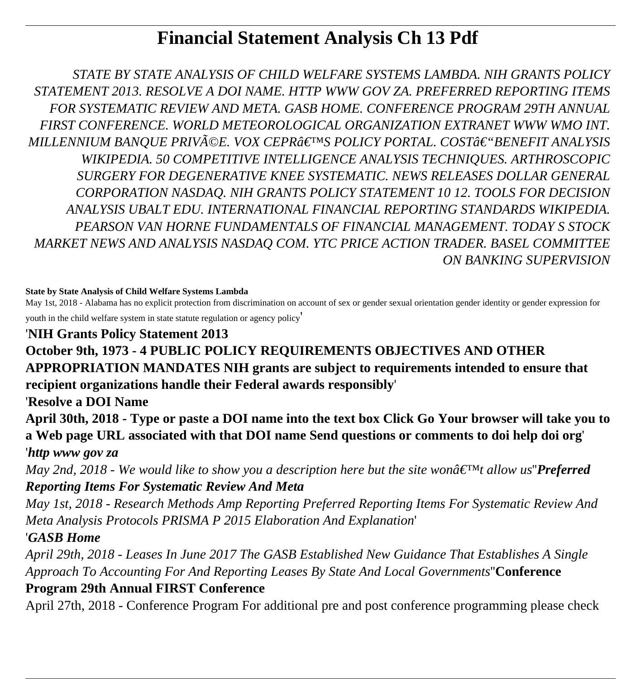# **Financial Statement Analysis Ch 13 Pdf**

*STATE BY STATE ANALYSIS OF CHILD WELFARE SYSTEMS LAMBDA. NIH GRANTS POLICY STATEMENT 2013. RESOLVE A DOI NAME. HTTP WWW GOV ZA. PREFERRED REPORTING ITEMS FOR SYSTEMATIC REVIEW AND META. GASB HOME. CONFERENCE PROGRAM 29TH ANNUAL FIRST CONFERENCE. WORLD METEOROLOGICAL ORGANIZATION EXTRANET WWW WMO INT. MILLENNIUM BANOUE PRIVéE. VOX CEPRâ€IMS POLICY PORTAL. COST–BENEFIT ANALYSIS WIKIPEDIA. 50 COMPETITIVE INTELLIGENCE ANALYSIS TECHNIQUES. ARTHROSCOPIC SURGERY FOR DEGENERATIVE KNEE SYSTEMATIC. NEWS RELEASES DOLLAR GENERAL CORPORATION NASDAQ. NIH GRANTS POLICY STATEMENT 10 12. TOOLS FOR DECISION ANALYSIS UBALT EDU. INTERNATIONAL FINANCIAL REPORTING STANDARDS WIKIPEDIA. PEARSON VAN HORNE FUNDAMENTALS OF FINANCIAL MANAGEMENT. TODAY S STOCK MARKET NEWS AND ANALYSIS NASDAQ COM. YTC PRICE ACTION TRADER. BASEL COMMITTEE ON BANKING SUPERVISION*

#### **State by State Analysis of Child Welfare Systems Lambda**

May 1st, 2018 - Alabama has no explicit protection from discrimination on account of sex or gender sexual orientation gender identity or gender expression for youth in the child welfare system in state statute regulation or agency policy'

#### '**NIH Grants Policy Statement 2013**

## **October 9th, 1973 - 4 PUBLIC POLICY REQUIREMENTS OBJECTIVES AND OTHER APPROPRIATION MANDATES NIH grants are subject to requirements intended to ensure that recipient organizations handle their Federal awards responsibly**'

'**Resolve a DOI Name**

**April 30th, 2018 - Type or paste a DOI name into the text box Click Go Your browser will take you to a Web page URL associated with that DOI name Send questions or comments to doi help doi org**' '*http www gov za*

*May 2nd, 2018 - We would like to show you a description here but the site wona<sup>* $\epsilon$ *TM</sup>t allow us"Preferred Reporting Items For Systematic Review And Meta*

*May 1st, 2018 - Research Methods Amp Reporting Preferred Reporting Items For Systematic Review And Meta Analysis Protocols PRISMA P 2015 Elaboration And Explanation*'

### '*GASB Home*

*April 29th, 2018 - Leases In June 2017 The GASB Established New Guidance That Establishes A Single Approach To Accounting For And Reporting Leases By State And Local Governments*''**Conference**

### **Program 29th Annual FIRST Conference**

April 27th, 2018 - Conference Program For additional pre and post conference programming please check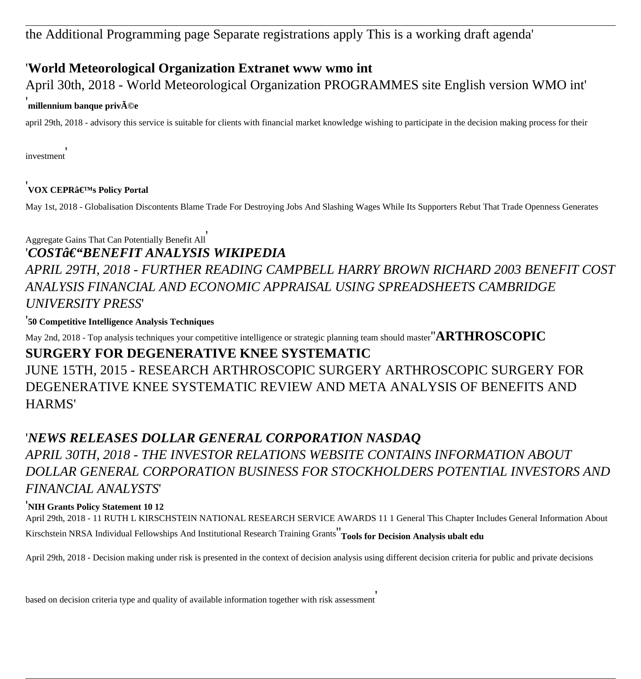the Additional Programming page Separate registrations apply This is a working draft agenda'

### '**World Meteorological Organization Extranet www wmo int**

April 30th, 2018 - World Meteorological Organization PROGRAMMES site English version WMO int'

#### **'millennium banque priv** $\tilde{\mathbf{A}}$ **©e**

april 29th, 2018 - advisory this service is suitable for clients with financial market knowledge wishing to participate in the decision making process for their

investment'

### <sup>'</sup>VOX CEPR's Policy Portal

May 1st, 2018 - Globalisation Discontents Blame Trade For Destroying Jobs And Slashing Wages While Its Supporters Rebut That Trade Openness Generates

Aggregate Gains That Can Potentially Benefit All'

#### '*COST–BENEFIT ANALYSIS WIKIPEDIA*

## *APRIL 29TH, 2018 - FURTHER READING CAMPBELL HARRY BROWN RICHARD 2003 BENEFIT COST ANALYSIS FINANCIAL AND ECONOMIC APPRAISAL USING SPREADSHEETS CAMBRIDGE UNIVERSITY PRESS*'

'**50 Competitive Intelligence Analysis Techniques**

May 2nd, 2018 - Top analysis techniques your competitive intelligence or strategic planning team should master''**ARTHROSCOPIC**

### **SURGERY FOR DEGENERATIVE KNEE SYSTEMATIC**

JUNE 15TH, 2015 - RESEARCH ARTHROSCOPIC SURGERY ARTHROSCOPIC SURGERY FOR DEGENERATIVE KNEE SYSTEMATIC REVIEW AND META ANALYSIS OF BENEFITS AND HARMS'

### '*NEWS RELEASES DOLLAR GENERAL CORPORATION NASDAQ*

*APRIL 30TH, 2018 - THE INVESTOR RELATIONS WEBSITE CONTAINS INFORMATION ABOUT DOLLAR GENERAL CORPORATION BUSINESS FOR STOCKHOLDERS POTENTIAL INVESTORS AND FINANCIAL ANALYSTS*'

#### '**NIH Grants Policy Statement 10 12**

April 29th, 2018 - 11 RUTH L KIRSCHSTEIN NATIONAL RESEARCH SERVICE AWARDS 11 1 General This Chapter Includes General Information About Kirschstein NRSA Individual Fellowships And Institutional Research Training Grants''**Tools for Decision Analysis ubalt edu**

April 29th, 2018 - Decision making under risk is presented in the context of decision analysis using different decision criteria for public and private decisions

based on decision criteria type and quality of available information together with risk assessment'